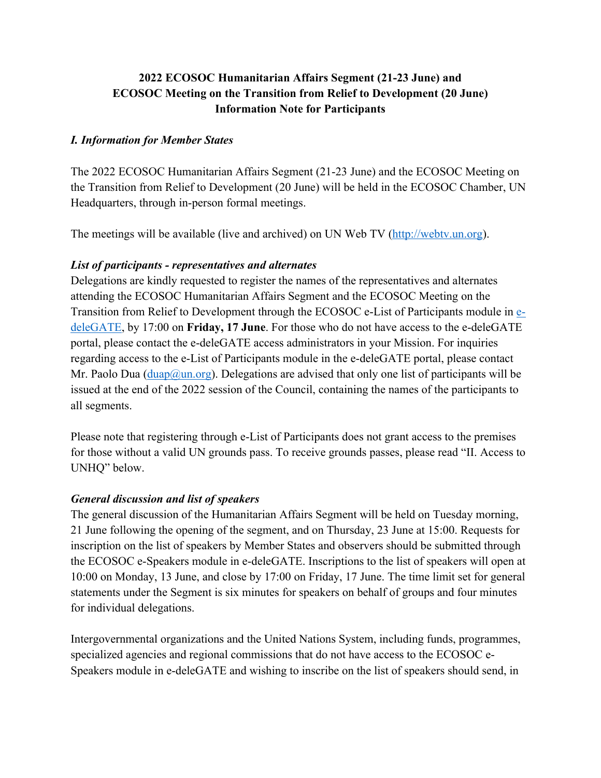# **2022 ECOSOC Humanitarian Affairs Segment (21-23 June) and ECOSOC Meeting on the Transition from Relief to Development (20 June) Information Note for Participants**

#### *I. Information for Member States*

The 2022 ECOSOC Humanitarian Affairs Segment (21-23 June) and the ECOSOC Meeting on the Transition from Relief to Development (20 June) will be held in the ECOSOC Chamber, UN Headquarters, through in-person formal meetings.

The meetings will be available (live and archived) on UN Web TV (http://webtv.un.org).

#### *List of participants - representatives and alternates*

Delegations are kindly requested to register the names of the representatives and alternates attending the ECOSOC Humanitarian Affairs Segment and the ECOSOC Meeting on the Transition from Relief to Development through the ECOSOC e-List of Participants module in edeleGATE, by 17:00 on **Friday, 17 June**. For those who do not have access to the e-deleGATE portal, please contact the e-deleGATE access administrators in your Mission. For inquiries regarding access to the e-List of Participants module in the e-deleGATE portal, please contact Mr. Paolo Dua ( $\text{duap}(\partial \text{un.org})$ ). Delegations are advised that only one list of participants will be issued at the end of the 2022 session of the Council, containing the names of the participants to all segments.

Please note that registering through e-List of Participants does not grant access to the premises for those without a valid UN grounds pass. To receive grounds passes, please read "II. Access to UNHQ" below.

### *General discussion and list of speakers*

The general discussion of the Humanitarian Affairs Segment will be held on Tuesday morning, 21 June following the opening of the segment, and on Thursday, 23 June at 15:00. Requests for inscription on the list of speakers by Member States and observers should be submitted through the ECOSOC e-Speakers module in e-deleGATE. Inscriptions to the list of speakers will open at 10:00 on Monday, 13 June, and close by 17:00 on Friday, 17 June. The time limit set for general statements under the Segment is six minutes for speakers on behalf of groups and four minutes for individual delegations.

Intergovernmental organizations and the United Nations System, including funds, programmes, specialized agencies and regional commissions that do not have access to the ECOSOC e-Speakers module in e-deleGATE and wishing to inscribe on the list of speakers should send, in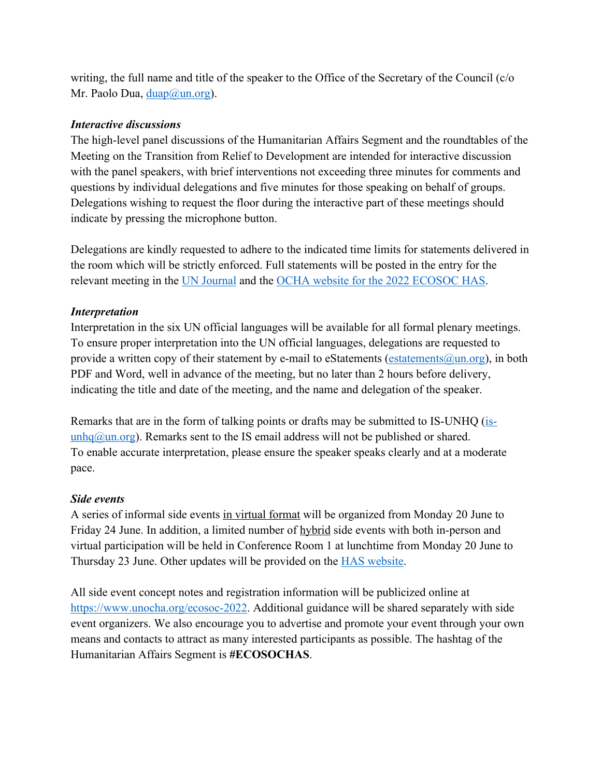writing, the full name and title of the speaker to the Office of the Secretary of the Council (c/o Mr. Paolo Dua, duap@un.org).

### *Interactive discussions*

The high-level panel discussions of the Humanitarian Affairs Segment and the roundtables of the Meeting on the Transition from Relief to Development are intended for interactive discussion with the panel speakers, with brief interventions not exceeding three minutes for comments and questions by individual delegations and five minutes for those speaking on behalf of groups. Delegations wishing to request the floor during the interactive part of these meetings should indicate by pressing the microphone button.

Delegations are kindly requested to adhere to the indicated time limits for statements delivered in the room which will be strictly enforced. Full statements will be posted in the entry for the relevant meeting in the UN Journal and the OCHA website for the 2022 ECOSOC HAS.

# *Interpretation*

Interpretation in the six UN official languages will be available for all formal plenary meetings. To ensure proper interpretation into the UN official languages, delegations are requested to provide a written copy of their statement by e-mail to eStatements (estatements  $\omega$ un.org), in both PDF and Word, well in advance of the meeting, but no later than 2 hours before delivery, indicating the title and date of the meeting, and the name and delegation of the speaker.

Remarks that are in the form of talking points or drafts may be submitted to IS-UNHQ (is- $unhq@un.org$ . Remarks sent to the IS email address will not be published or shared.</u> To enable accurate interpretation, please ensure the speaker speaks clearly and at a moderate pace.

### *Side events*

A series of informal side events in virtual format will be organized from Monday 20 June to Friday 24 June. In addition, a limited number of hybrid side events with both in-person and virtual participation will be held in Conference Room 1 at lunchtime from Monday 20 June to Thursday 23 June. Other updates will be provided on the HAS website.

All side event concept notes and registration information will be publicized online at https://www.unocha.org/ecosoc-2022. Additional guidance will be shared separately with side event organizers. We also encourage you to advertise and promote your event through your own means and contacts to attract as many interested participants as possible. The hashtag of the Humanitarian Affairs Segment is **#ECOSOCHAS**.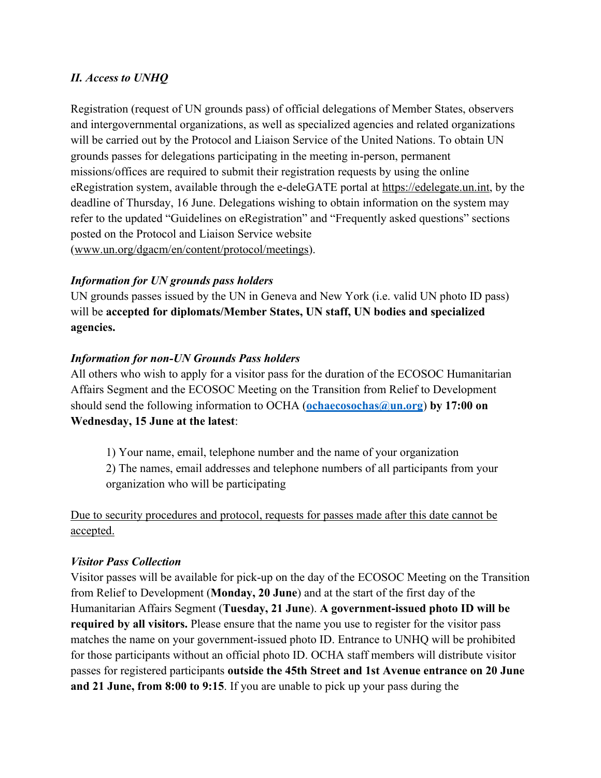# *II. Access to UNHQ*

Registration (request of UN grounds pass) of official delegations of Member States, observers and intergovernmental organizations, as well as specialized agencies and related organizations will be carried out by the Protocol and Liaison Service of the United Nations. To obtain UN grounds passes for delegations participating in the meeting in-person, permanent missions/offices are required to submit their registration requests by using the online eRegistration system, available through the e-deleGATE portal at https://edelegate.un.int, by the deadline of Thursday, 16 June. Delegations wishing to obtain information on the system may refer to the updated "Guidelines on eRegistration" and "Frequently asked questions" sections posted on the Protocol and Liaison Service website (www.un.org/dgacm/en/content/protocol/meetings).

# *Information for UN grounds pass holders*

UN grounds passes issued by the UN in Geneva and New York (i.e. valid UN photo ID pass) will be **accepted for diplomats/Member States, UN staff, UN bodies and specialized agencies.** 

### *Information for non-UN Grounds Pass holders*

All others who wish to apply for a visitor pass for the duration of the ECOSOC Humanitarian Affairs Segment and the ECOSOC Meeting on the Transition from Relief to Development should send the following information to OCHA (**ochaecosochas@un.org**) **by 17:00 on Wednesday, 15 June at the latest**:

1) Your name, email, telephone number and the name of your organization 2) The names, email addresses and telephone numbers of all participants from your organization who will be participating

Due to security procedures and protocol, requests for passes made after this date cannot be accepted.

### *Visitor Pass Collection*

Visitor passes will be available for pick-up on the day of the ECOSOC Meeting on the Transition from Relief to Development (**Monday, 20 June**) and at the start of the first day of the Humanitarian Affairs Segment (**Tuesday, 21 June**). **A government-issued photo ID will be required by all visitors.** Please ensure that the name you use to register for the visitor pass matches the name on your government-issued photo ID. Entrance to UNHQ will be prohibited for those participants without an official photo ID. OCHA staff members will distribute visitor passes for registered participants **outside the 45th Street and 1st Avenue entrance on 20 June and 21 June, from 8:00 to 9:15**. If you are unable to pick up your pass during the